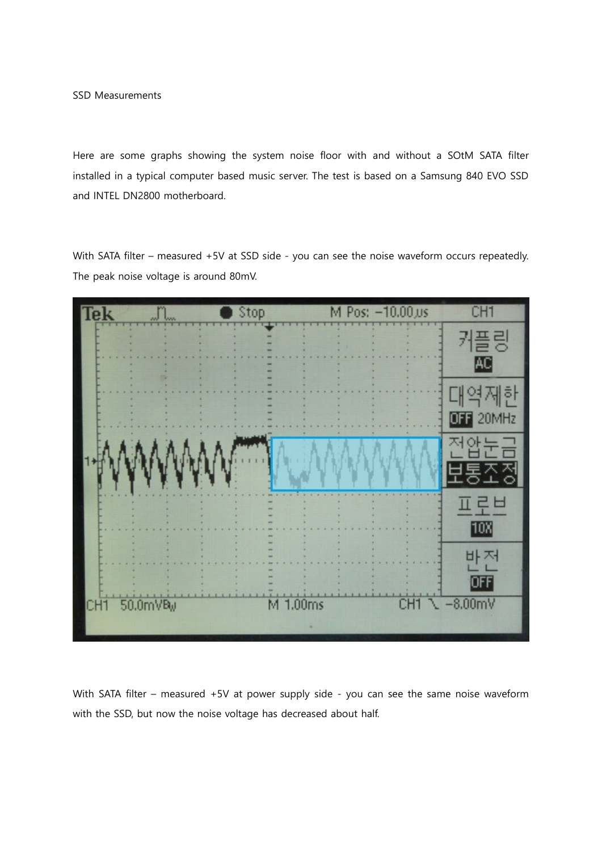SSD Measurements

Here are some graphs showing the system noise floor with and without a SOtM SATA filter installed in a typical computer based music server. The test is based on a Samsung 840 EVO SSD and INTEL DN2800 motherboard.

With SATA filter – measured +5V at SSD side - you can see the noise waveform occurs repeatedly. The peak noise voltage is around 80mV.



With SATA filter – measured +5V at power supply side - you can see the same noise waveform with the SSD, but now the noise voltage has decreased about half.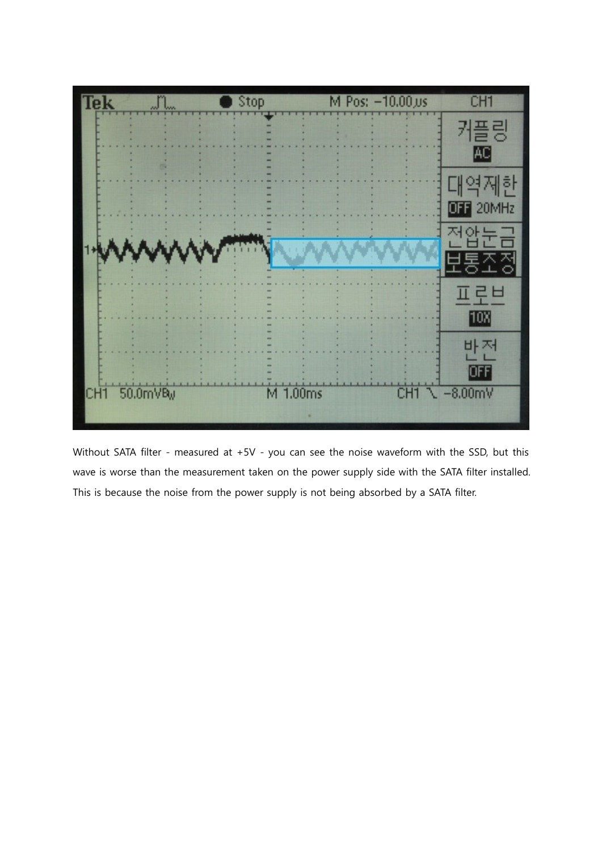

Without SATA filter - measured at +5V - you can see the noise waveform with the SSD, but this wave is worse than the measurement taken on the power supply side with the SATA filter installed. This is because the noise from the power supply is not being absorbed by a SATA filter.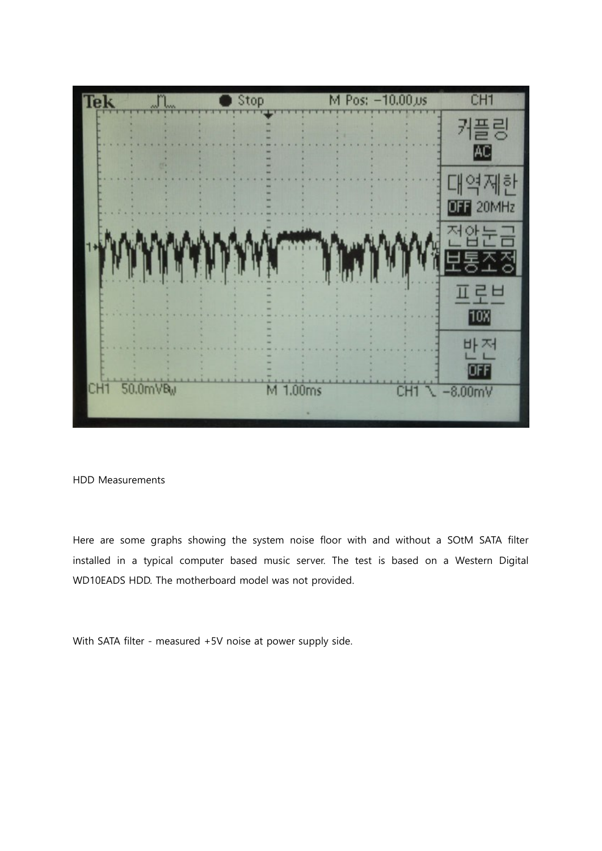

## HDD Measurements

Here are some graphs showing the system noise floor with and without a SOtM SATA filter installed in a typical computer based music server. The test is based on a Western Digital WD10EADS HDD. The motherboard model was not provided.

With SATA filter - measured +5V noise at power supply side.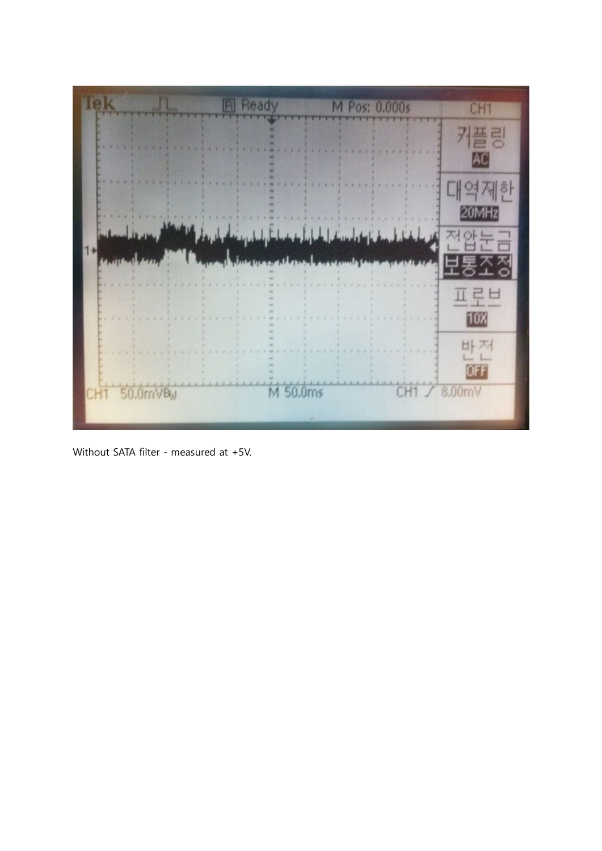

Without SATA filter - measured at +5V.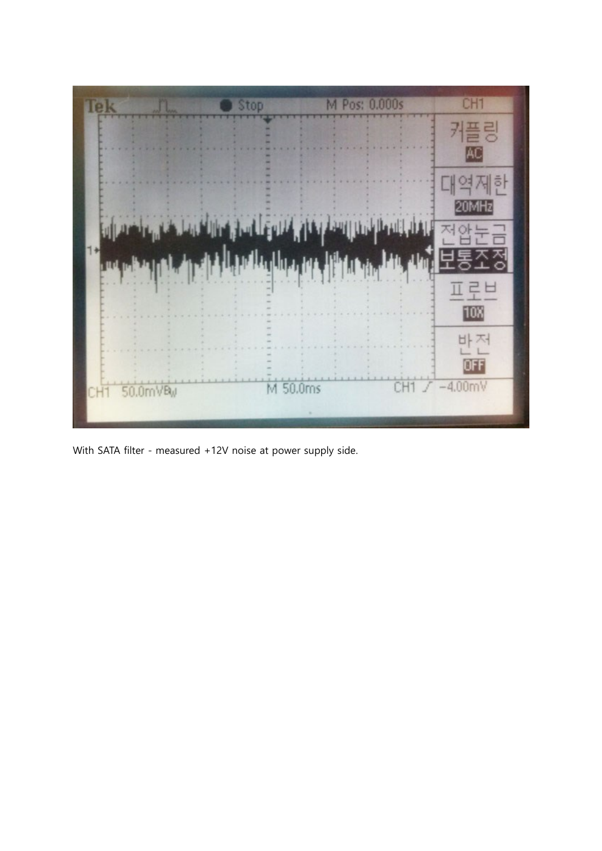

With SATA filter - measured +12V noise at power supply side.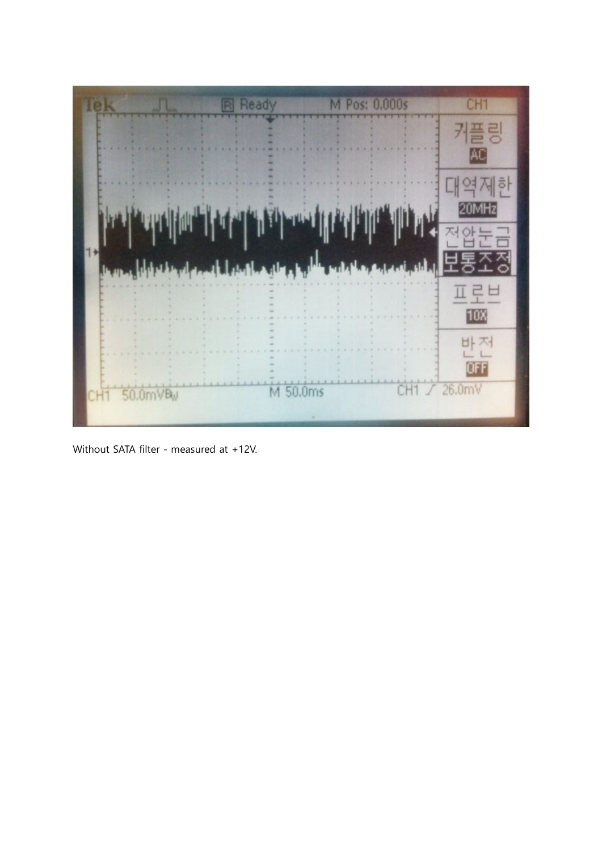

Without SATA filter - measured at +12V.